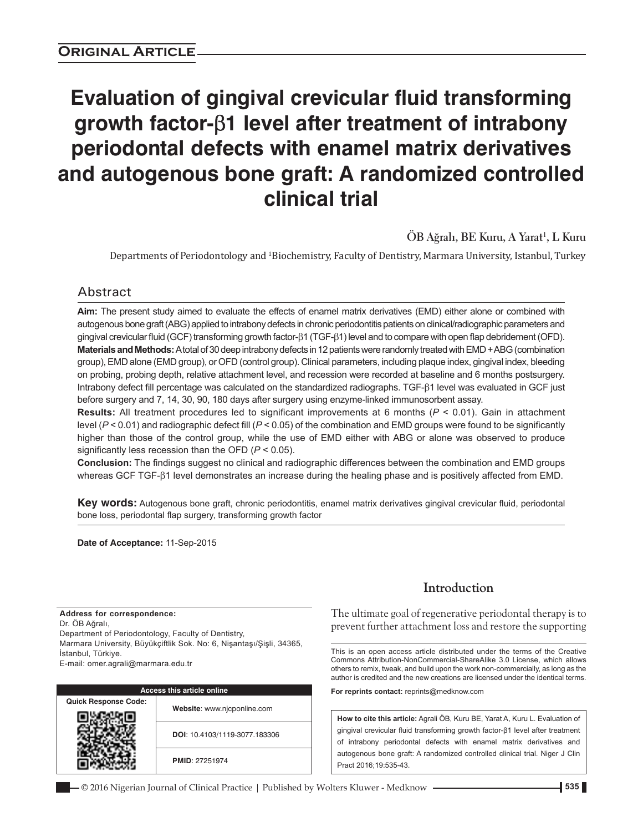# **Evaluation of gingival crevicular fluid transforming growth factor-**β**1 level after treatment of intrabony periodontal defects with enamel matrix derivatives and autogenous bone graft: A randomized controlled clinical trial**

**ÖB Ağralı, BE Kuru, A Yarat<sup>1</sup> , L Kuru**

Departments of Periodontology and <sup>1</sup>Biochemistry, Faculty of Dentistry, Marmara University, Istanbul, Turkey

# Abstract

**Aim:** The present study aimed to evaluate the effects of enamel matrix derivatives (EMD) either alone or combined with autogenous bone graft(ABG) applied to intrabony defects in chronic periodontitis patients on clinical/radiographic parameters and gingival crevicular fluid (GCF) transforming growth factor‑β1 (TGF-β1) level and to compare with open flap debridement(OFD). **Materials and Methods:** Atotal of 30 deep intrabony defects in 12patients were randomly treated with EMD+ABG(combination group), EMD alone (EMD group), or OFD (control group). Clinical parameters, including plaque index, gingival index, bleeding on probing, probing depth, relative attachment level, and recession were recorded at baseline and 6 months postsurgery. Intrabony defect fill percentage was calculated on the standardized radiographs. TGF‑β1 level was evaluated in GCF just before surgery and 7, 14, 30, 90, 180 days after surgery using enzyme-linked immunosorbent assay.

**Results:** All treatment procedures led to significant improvements at 6 months (*P* < 0.01). Gain in attachment level (*P* < 0.01) and radiographic defect fill (*P* < 0.05) of the combination and EMD groups were found to be significantly higher than those of the control group, while the use of EMD either with ABG or alone was observed to produce significantly less recession than the OFD (*P* < 0.05).

**Conclusion:** The findings suggest no clinical and radiographic differences between the combination and EMD groups whereas GCF TGF-β1 level demonstrates an increase during the healing phase and is positively affected from EMD.

**Key words:** Autogenous bone graft, chronic periodontitis, enamel matrix derivatives gingival crevicular fluid, periodontal bone loss, periodontal flap surgery, transforming growth factor

**Date of Acceptance:** 11-Sep-2015

**Address for correspondence:** Dr. ÖB Ağralı, Department of Periodontology, Faculty of Dentistry, Marmara University, Büyükçiftlik Sok. No: 6, Nişantaşı/Şişli, 34365, İstanbul, Türkiye. E-mail: omer.agrali@marmara.edu.tr

|                             | <b>Access this article online</b> |
|-----------------------------|-----------------------------------|
| <b>Quick Response Code:</b> |                                   |
|                             | Website: www.njcponline.com       |
|                             | DOI: 10.4103/1119-3077.183306     |
|                             | <b>PMID: 27251974</b>             |

# **Introduction**

The ultimate goal of regenerative periodontal therapy is to prevent further attachment loss and restore the supporting

This is an open access article distributed under the terms of the Creative Commons Attribution-NonCommercial-ShareAlike 3.0 License, which allows others to remix, tweak, and build upon the work non-commercially, as long as the author is credited and the new creations are licensed under the identical terms.

**For reprints contact:** reprints@medknow.com

**How to cite this article:** Agrali ÖB, Kuru BE, Yarat A, Kuru L. Evaluation of gingival crevicular fluid transforming growth factor-β1 level after treatment of intrabony periodontal defects with enamel matrix derivatives and autogenous bone graft: A randomized controlled clinical trial. Niger J Clin Pract 2016;19:535-43.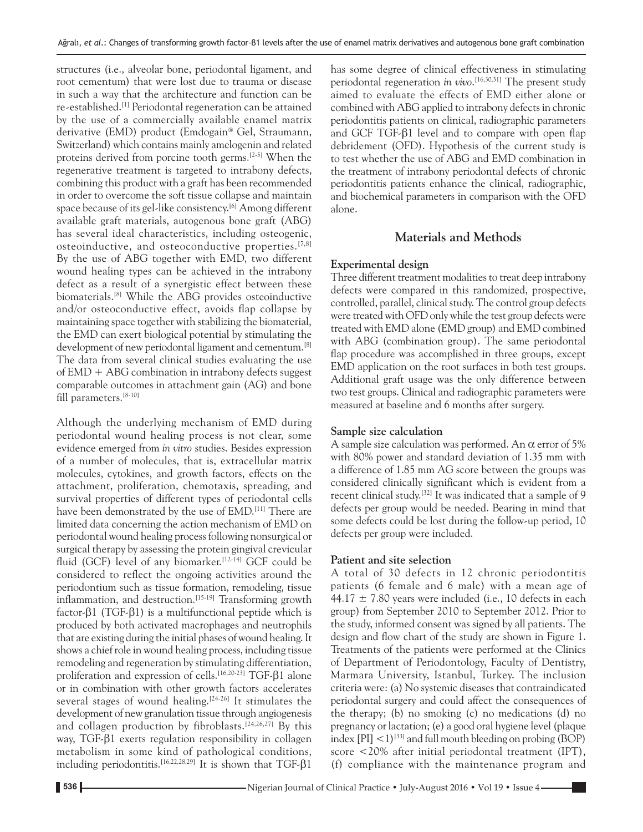structures (i.e., alveolar bone, periodontal ligament, and root cementum) that were lost due to trauma or disease in such a way that the architecture and function can be re‑established.[1] Periodontal regeneration can be attained by the use of a commercially available enamel matrix derivative (EMD) product (Emdogain® Gel, Straumann, Switzerland) which contains mainly amelogenin and related proteins derived from porcine tooth germs.[2‑5] When the regenerative treatment is targeted to intrabony defects, combining this product with a graft has been recommended in order to overcome the soft tissue collapse and maintain space because of its gel-like consistency.<sup>[6]</sup> Among different available graft materials, autogenous bone graft (ABG) has several ideal characteristics, including osteogenic, osteoinductive, and osteoconductive properties.  $[7,8]$ By the use of ABG together with EMD, two different wound healing types can be achieved in the intrabony defect as a result of a synergistic effect between these biomaterials.[8] While the ABG provides osteoinductive and/or osteoconductive effect, avoids flap collapse by maintaining space together with stabilizing the biomaterial, the EMD can exert biological potential by stimulating the development of new periodontal ligament and cementum.<sup>[8]</sup> The data from several clinical studies evaluating the use of  $EMD + ABC$  combination in intrabony defects suggest comparable outcomes in attachment gain (AG) and bone fill parameters.[8‑10]

Although the underlying mechanism of EMD during periodontal wound healing process is not clear, some evidence emerged from *in vitro* studies. Besides expression of a number of molecules, that is, extracellular matrix molecules, cytokines, and growth factors, effects on the attachment, proliferation, chemotaxis, spreading, and survival properties of different types of periodontal cells have been demonstrated by the use of EMD.<sup>[11]</sup> There are limited data concerning the action mechanism of EMD on periodontal wound healing process following nonsurgical or surgical therapy by assessing the protein gingival crevicular fluid (GCF) level of any biomarker.<sup>[12-14]</sup> GCF could be considered to reflect the ongoing activities around the periodontium such as tissue formation, remodeling, tissue inflammation, and destruction.<sup>[15-19]</sup> Transforming growth factor‑β1 (TGF‑β1) is a multifunctional peptide which is produced by both activated macrophages and neutrophils that are existing during the initial phases of wound healing. It shows a chief role in wound healing process, including tissue remodeling and regeneration by stimulating differentiation, proliferation and expression of cells.[16,20‑23] TGF‑β1 alone or in combination with other growth factors accelerates several stages of wound healing.<sup>[24-26]</sup> It stimulates the development of new granulation tissue through angiogenesis and collagen production by fibroblasts.<sup>[24,26,27]</sup> By this way, TGF‑β1 exerts regulation responsibility in collagen metabolism in some kind of pathological conditions, including periodontitis.[16,22,28,29] It is shown that TGF‑β1 has some degree of clinical effectiveness in stimulating periodontal regeneration *in vivo*. [16,30,31] The present study aimed to evaluate the effects of EMD either alone or combined with ABG applied to intrabony defects in chronic periodontitis patients on clinical, radiographic parameters and GCF TGF- $\beta$ 1 level and to compare with open flap debridement (OFD). Hypothesis of the current study is to test whether the use of ABG and EMD combination in the treatment of intrabony periodontal defects of chronic periodontitis patients enhance the clinical, radiographic, and biochemical parameters in comparison with the OFD alone.

# **Materials and Methods**

## **Experimental design**

Three different treatment modalities to treat deep intrabony defects were compared in this randomized, prospective, controlled, parallel, clinical study. The control group defects were treated with OFD only while the test group defects were treated with EMD alone (EMD group) and EMD combined with ABG (combination group). The same periodontal flap procedure was accomplished in three groups, except EMD application on the root surfaces in both test groups. Additional graft usage was the only difference between two test groups. Clinical and radiographic parameters were measured at baseline and 6 months after surgery.

# **Sample size calculation**

A sample size calculation was performed. An  $\alpha$  error of 5% with 80% power and standard deviation of 1.35 mm with a difference of 1.85 mm AG score between the groups was considered clinically significant which is evident from a recent clinical study.[32] It was indicated that a sample of 9 defects per group would be needed. Bearing in mind that some defects could be lost during the follow-up period, 10 defects per group were included.

# **Patient and site selection**

A total of 30 defects in 12 chronic periodontitis patients (6 female and 6 male) with a mean age of  $44.17 \pm 7.80$  years were included (i.e., 10 defects in each group) from September 2010 to September 2012. Prior to the study, informed consent was signed by all patients. The design and flow chart of the study are shown in Figure 1. Treatments of the patients were performed at the Clinics of Department of Periodontology, Faculty of Dentistry, Marmara University, Istanbul, Turkey. The inclusion criteria were: (a) No systemic diseases that contraindicated periodontal surgery and could affect the consequences of the therapy; (b) no smoking (c) no medications (d) no pregnancy or lactation;(e) a good oral hygiene level(plaque index  $[PI] < 1$ <sup>[33]</sup> and full mouth bleeding on probing (BOP) score <20% after initial periodontal treatment (IPT), (f) compliance with the maintenance program and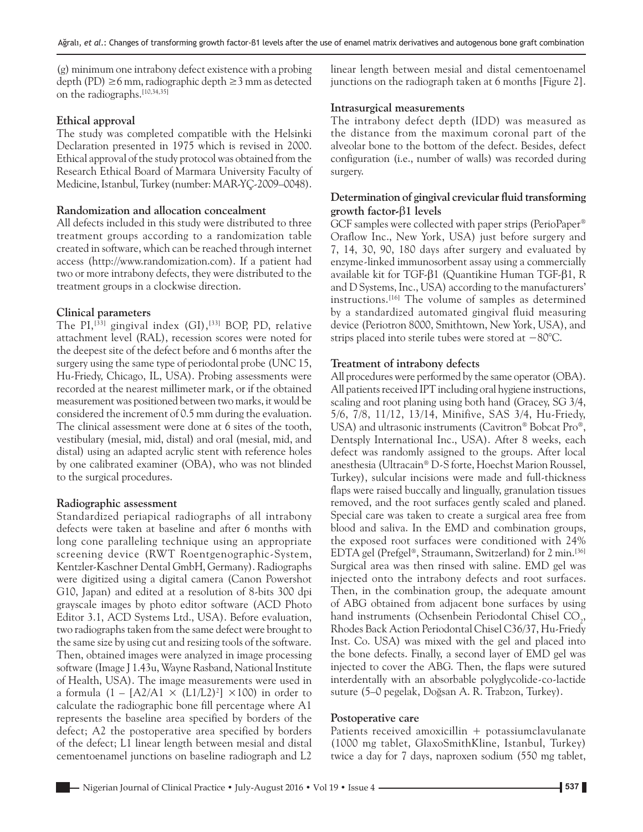(g) minimum one intrabony defect existence with a probing depth (PD)  $\geq$ 6 mm, radiographic depth  $\geq$ 3 mm as detected on the radiographs.[10,34,35]

## **Ethical approval**

The study was completed compatible with the Helsinki Declaration presented in 1975 which is revised in 2000. Ethical approval of the study protocol was obtained from the Research Ethical Board of Marmara University Faculty of Medicine, Istanbul, Turkey (number: MAR‑YÇ‑2009–0048).

#### **Randomization and allocation concealment**

All defects included in this study were distributed to three treatment groups according to a randomization table created in software, which can be reached through internet access (http://www.randomization.com). If a patient had two or more intrabony defects, they were distributed to the treatment groups in a clockwise direction.

## **Clinical parameters**

The PI,<sup>[33]</sup> gingival index (GI),<sup>[33]</sup> BOP, PD, relative attachment level (RAL), recession scores were noted for the deepest site of the defect before and 6 months after the surgery using the same type of periodontal probe (UNC 15, Hu‑Friedy, Chicago, IL, USA). Probing assessments were recorded at the nearest millimeter mark, or if the obtained measurement was positioned between two marks, it would be considered the increment of 0.5 mm during the evaluation. The clinical assessment were done at 6 sites of the tooth, vestibulary (mesial, mid, distal) and oral (mesial, mid, and distal) using an adapted acrylic stent with reference holes by one calibrated examiner (OBA), who was not blinded to the surgical procedures.

#### **Radiographic assessment**

Standardized periapical radiographs of all intrabony defects were taken at baseline and after 6 months with long cone paralleling technique using an appropriate screening device (RWT Roentgenographic‑System, Kentzler‑Kaschner Dental GmbH, Germany). Radiographs were digitized using a digital camera (Canon Powershot G10, Japan) and edited at a resolution of 8‑bits 300 dpi grayscale images by photo editor software (ACD Photo Editor 3.1, ACD Systems Ltd., USA). Before evaluation, two radiographs taken from the same defect were brought to the same size by using cut and resizing tools of the software. Then, obtained images were analyzed in image processing software (Image J 1.43u, Wayne Rasband, National Institute of Health, USA). The image measurements were used in a formula  $(1 - [A2/A1 \times (L1/L2)^2] \times 100)$  in order to calculate the radiographic bone fill percentage where A1 represents the baseline area specified by borders of the defect; A2 the postoperative area specified by borders of the defect; L1 linear length between mesial and distal cementoenamel junctions on baseline radiograph and L2

linear length between mesial and distal cementoenamel junctions on the radiograph taken at 6 months [Figure 2].

## **Intrasurgical measurements**

The intrabony defect depth (IDD) was measured as the distance from the maximum coronal part of the alveolar bone to the bottom of the defect. Besides, defect configuration (i.e., number of walls) was recorded during surgery.

# **Determination of gingival crevicular fluid transforming growth factor‑**β**1 levels**

GCF samples were collected with paper strips (PerioPaper® Oraflow Inc., New York, USA) just before surgery and 7, 14, 30, 90, 180 days after surgery and evaluated by enzyme-linked immunosorbent assay using a commercially available kit for TGF‑β1 (Quantikine Human TGF‑β1, R and D Systems, Inc., USA) according to the manufacturers' instructions.[16] The volume of samples as determined by a standardized automated gingival fluid measuring device (Periotron 8000, Smithtown, New York, USA), and strips placed into sterile tubes were stored at −80°C.

## **Treatment of intrabony defects**

All procedures were performed by the same operator (OBA). All patients received IPT including oral hygiene instructions, scaling and root planing using both hand (Gracey, SG 3/4, 5/6, 7/8, 11/12, 13/14, Minifive, SAS 3/4, Hu‑Friedy, USA) and ultrasonic instruments (Cavitron® Bobcat Pro®, Dentsply International Inc., USA). After 8 weeks, each defect was randomly assigned to the groups. After local anesthesia (Ultracain® D‑S forte, Hoechst Marion Roussel, Turkey), sulcular incisions were made and full-thickness flaps were raised buccally and lingually, granulation tissues removed, and the root surfaces gently scaled and planed. Special care was taken to create a surgical area free from blood and saliva. In the EMD and combination groups, the exposed root surfaces were conditioned with 24% EDTA gel (Prefgel®, Straumann, Switzerland) for 2 min.[36] Surgical area was then rinsed with saline. EMD gel was injected onto the intrabony defects and root surfaces. Then, in the combination group, the adequate amount of ABG obtained from adjacent bone surfaces by using hand instruments (Ochsenbein Periodontal Chisel  $\mathrm{CO}_2$ , Rhodes Back Action Periodontal Chisel C36/37, Hu‑Friedy Inst. Co. USA) was mixed with the gel and placed into the bone defects. Finally, a second layer of EMD gel was injected to cover the ABG. Then, the flaps were sutured interdentally with an absorbable polyglycolide‑co‑lactide suture (5–0 pegelak, Doğsan A. R. Trabzon, Turkey).

#### **Postoperative care**

Patients received amoxicillin  $+$  potassiumclavulanate (1000 mg tablet, GlaxoSmithKline, Istanbul, Turkey) twice a day for 7 days, naproxen sodium (550 mg tablet,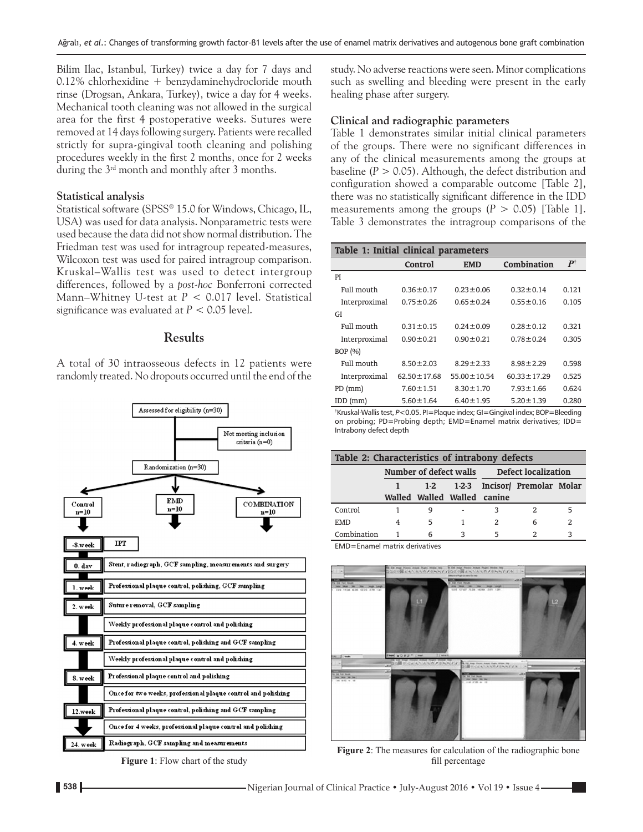Bilim Ilac, Istanbul, Turkey) twice a day for 7 days and 0.12% chlorhexidine + benzydaminehydrocloride mouth rinse (Drogsan, Ankara, Turkey), twice a day for 4 weeks. Mechanical tooth cleaning was not allowed in the surgical area for the first 4 postoperative weeks. Sutures were removed at 14 days following surgery. Patients were recalled strictly for supra‑gingival tooth cleaning and polishing procedures weekly in the first 2 months, once for 2 weeks during the 3rd month and monthly after 3 months.

#### **Statistical analysis**

Statistical software (SPSS® 15.0 for Windows, Chicago, IL, USA) was used for data analysis. Nonparametric tests were used because the data did not show normal distribution. The Friedman test was used for intragroup repeated-measures, Wilcoxon test was used for paired intragroup comparison. Kruskal–Wallis test was used to detect intergroup differences, followed by a *post‑hoc* Bonferroni corrected Mann–Whitney U‑test at *P* < 0.017 level. Statistical significance was evaluated at *P* < 0.05 level.

# **Results**

A total of 30 intraosseous defects in 12 patients were randomly treated. No dropouts occurred until the end of the



**Figure 1**: Flow chart of the study

study. No adverse reactions were seen. Minor complications such as swelling and bleeding were present in the early healing phase after surgery.

# **Clinical and radiographic parameters**

Table 1 demonstrates similar initial clinical parameters of the groups. There were no significant differences in any of the clinical measurements among the groups at baseline  $(P > 0.05)$ . Although, the defect distribution and configuration showed a comparable outcome [Table 2], there was no statistically significant difference in the IDD measurements among the groups  $(P > 0.05)$  [Table 1]. Table 3 demonstrates the intragroup comparisons of the

| Table 1: Initial clinical parameters |                   |                   |                   |               |
|--------------------------------------|-------------------|-------------------|-------------------|---------------|
|                                      | Control           | <b>EMD</b>        | Combination       | $P^{\dagger}$ |
| PI                                   |                   |                   |                   |               |
| Full mouth                           | $0.36 \pm 0.17$   | $0.23 \pm 0.06$   | $0.32 \pm 0.14$   | 0.121         |
| Interproximal                        | $0.75 \pm 0.26$   | $0.65 \pm 0.24$   | $0.55 \pm 0.16$   | 0.105         |
| GI                                   |                   |                   |                   |               |
| Full mouth                           | $0.31 \pm 0.15$   | $0.24 \pm 0.09$   | $0.28 \pm 0.12$   | 0.321         |
| Interproximal                        | $0.90 \pm 0.21$   | $0.90 \pm 0.21$   | $0.78 \pm 0.24$   | 0.305         |
| BOP $(% )$                           |                   |                   |                   |               |
| Full mouth                           | $8.50 \pm 2.03$   | $8.29 \pm 2.33$   | $8.98 \pm 2.29$   | 0.598         |
| Interproximal                        | $62.50 \pm 17.68$ | $55.00 \pm 10.54$ | $60.33 \pm 17.29$ | 0.525         |
| $PD$ (mm)                            | $7.60 \pm 1.51$   | $8.30 \pm 1.70$   | $7.93 \pm 1.66$   | 0.624         |
| $IDD$ (mm)                           | $5.60 \pm 1.64$   | $6.40 \pm 1.95$   | $5.20 \pm 1.39$   | 0.280         |

† Kruskal-Wallis test, *P*<0.05. PI=Plaque index; GI=Gingival index; BOP=Bleeding on probing; PD=Probing depth; EMD=Enamel matrix derivatives; IDD= Intrabony defect depth

|             | Table 2: Characteristics of intrabony defects |   |  |   |                                            |   |  |  |  |
|-------------|-----------------------------------------------|---|--|---|--------------------------------------------|---|--|--|--|
|             |                                               |   |  |   | Number of defect walls Defect localization |   |  |  |  |
|             |                                               |   |  |   | 1-2 1-2-3 Incisor Premolar Molar           |   |  |  |  |
|             | Walled Walled Walled canine                   |   |  |   |                                            |   |  |  |  |
| Control     |                                               | q |  | κ |                                            |   |  |  |  |
| EMD         |                                               | 5 |  | 2 | 6                                          | 2 |  |  |  |
| Combination |                                               | 6 |  | 5 |                                            |   |  |  |  |

EMD=Enamel matrix derivatives



**Figure 2**: The measures for calculation of the radiographic bone fill percentage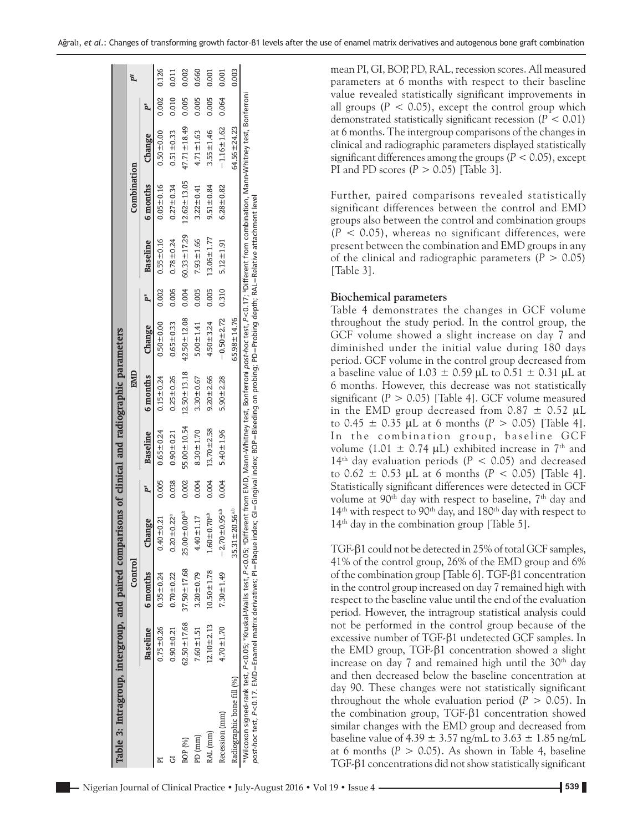| Table 3: Intragroup, intergroup, and paired comparisons of clinical and radiographic parameters                                                                                                                                                                                                                                                                              |                   |                   |                                  |       |                   |                   |                   |       |                   |                   |                   |       |       |
|------------------------------------------------------------------------------------------------------------------------------------------------------------------------------------------------------------------------------------------------------------------------------------------------------------------------------------------------------------------------------|-------------------|-------------------|----------------------------------|-------|-------------------|-------------------|-------------------|-------|-------------------|-------------------|-------------------|-------|-------|
|                                                                                                                                                                                                                                                                                                                                                                              |                   | Control           |                                  |       |                   | EMID              |                   |       |                   | Combination       |                   |       |       |
|                                                                                                                                                                                                                                                                                                                                                                              | Baseline          | 6 months          | Change                           |       | Baseline          | 6 months          | Change            |       | Baseline          | 6 months          | Change            | Ã     |       |
|                                                                                                                                                                                                                                                                                                                                                                              | $0.75 \pm 0.26$   | $0.35 + 0.24$     | $0.40 \pm 0.21$                  | 0.005 | $0.65 \pm 0.24$   | $0.15 + 0.24$     | $0.50 + 0.00$     | 0.002 | $0.55 \pm 0.16$   | $0.05 + 0.16$     | $0.50 \pm 0.00$   | 0.002 | 0.126 |
| Œ                                                                                                                                                                                                                                                                                                                                                                            | $0.90 \pm 0.21$   | $0.70 + 0.22$     | $0.20 \pm 0.22$ <sup>a</sup>     | 0.038 | $0.90 \pm 0.21$   | $0.25 + 0.26$     | $0.65 + 0.33$     | 0.006 | $0.78 + 0.24$     | $0.27 + 0.34$     | $0.51 \pm 0.33$   | 0.010 | 0.011 |
| BOP (%)                                                                                                                                                                                                                                                                                                                                                                      | $62.50 \pm 17.68$ | $37.50 \pm 17.68$ | $25.00 \pm 0.00^{a,b}$           | 0.002 | $55.00 \pm 10.54$ | $12.50 \pm 13.18$ | $42.50 \pm 12.08$ | 0.004 | $60.33 \pm 17.29$ | $12.62 \pm 13.05$ | 47.71 ± 18.49     | 0.005 | 0.002 |
| PD (mm)                                                                                                                                                                                                                                                                                                                                                                      | $7.60 \pm 1.51$   | $3.20 + 0.79$     | $4.40 \pm 1.17$                  | 0.004 | $8.30 \pm 1.70$   | $3.30 \pm 0.67$   | $5.00 \pm 1.41$   | 0.005 | $7.93 \pm 1.66$   | $3.22 \pm 0.41$   | $4.71 \pm 1.63$   | 0.005 | 0.660 |
| RAL (mm)                                                                                                                                                                                                                                                                                                                                                                     | $12.10 \pm 2.13$  | $10.50 \pm 1.78$  | $1.60 \pm 0.70$ <sup>a,b</sup>   | 0.004 | $13.70 \pm 2.58$  | $9.20 \pm 2.66$   | $4.50 \pm 3.24$   | 0.005 | $13.06 \pm 1.77$  | $9.51 \pm 0.84$   | $3.55 \pm 1.46$   | 0.005 | 0.001 |
| Recession (mm)                                                                                                                                                                                                                                                                                                                                                               | $4.70 \pm 1.70$   | $7.30 \pm 1.49$   | $-2.70 \pm 0.95$ <sup>a,b</sup>  | 0.004 | $5.40 \pm 1.96$   | $5.90 \pm 2.28$   | $-0.50 + 2.72$    | 0.310 | $5.12 \pm 1.91$   | $6.28 \pm 0.82$   | $-1.16 \pm 1.62$  | 0.064 | 0.001 |
| Radiographic bone fill (%)                                                                                                                                                                                                                                                                                                                                                   |                   |                   | $35.31 \pm 20.56$ <sup>a,b</sup> |       |                   |                   | $65.98 \pm 14.76$ |       |                   |                   | $64.56 \pm 24.23$ |       | 0.003 |
| *Wilcoxon signed-rank test, P<0.05; *Kruskal-Wallis test, P<0.05; *Different from EMD, Mann-Whitney test, Bonferroni post-hoc test, P<0.17; *Different from combination, Mann-Whitney test, Bonferroni<br>ρost-hoc test, P<0.17. EMD=Enamel matrix derivatives; Pl=Plaque index; Gl=Gingival index; BOP=Bleeding on probing; PD=Probing depth; RAL=Relative attachment level |                   |                   |                                  |       |                   |                   |                   |       |                   |                   |                   |       |       |

mean PI, GI, BOP, PD, RAL, recession scores. All measured parameters at 6 months with respect to their baseline value revealed statistically significant improvements in all groups  $(P < 0.05)$ , except the control group which demonstrated statistically significant recession (*P* < 0.01) at 6 months. The intergroup comparisons of the changes in clinical and radiographic parameters displayed statistically significant differences among the groups ( $P < 0.05$ ), except PI and PD scores (*P* > 0.05) [Table 3].

Further, paired comparisons revealed statistically significant differences between the control and EMD groups also between the control and combination groups  $(P < 0.05)$ , whereas no significant differences, were present between the combination and EMD groups in any of the clinical and radiographic parameters  $(P > 0.05)$ [Table 3].

#### **Biochemical parameters**

Table 4 demonstrates the changes in GCF volume throughout the study period. In the control group, the GCF volume showed a slight increase on day 7 and diminished under the initial value during 180 days period. GCF volume in the control group decreased from a baseline value of 1.03  $\pm$  0.59 µL to 0.51  $\pm$  0.31 µL at 6 months. However, this decrease was not statistically significant (*P* > 0.05) [Table 4]. GCF volume measured in the EMD group decreased from  $0.87 \pm 0.52 \mu L$ to  $0.45 \pm 0.35$  µL at 6 months ( $P > 0.05$ ) [Table 4]. In the combination group, baseline GCF volume (1.01  $\pm$  0.74 µL) exhibited increase in 7<sup>th</sup> and 14<sup>th</sup> day evaluation periods ( $P < 0.05$ ) and decreased to  $0.62 \pm 0.53$  µL at 6 months ( $P < 0.05$ ) [Table 4]. Statistically significant differences were detected in GCF volume at 90<sup>th</sup> day with respect to baseline, 7<sup>th</sup> day and 14<sup>th</sup> with respect to 90<sup>th</sup> day, and 180<sup>th</sup> day with respect to  $14<sup>th</sup>$  day in the combination group [Table 5].

TGF‑β1 could not be detected in 25% of total GCF samples, 41% of the control group, 26% of the EMD group and 6% of the combination group [Table 6]. TGF‑β1 concentration in the control group increased on day 7 remained high with respect to the baseline value until the end of the evaluation period. However, the intragroup statistical analysis could not be performed in the control group because of the excessive number of TGF‑β1 undetected GCF samples. In the EMD group, TGF‑β1 concentration showed a slight increase on day 7 and remained high until the 30<sup>th</sup> day and then decreased below the baseline concentration at day 90. These changes were not statistically significant throughout the whole evaluation period  $(P > 0.05)$ . In the combination group, TGF‑β1 concentration showed similar changes with the EMD group and decreased from baseline value of 4.39  $\pm$  3.57 ng/mL to 3.63  $\pm$  1.85 ng/mL at 6 months  $(P > 0.05)$ . As shown in Table 4, baseline TGF‑β1 concentrations did not show statistically significant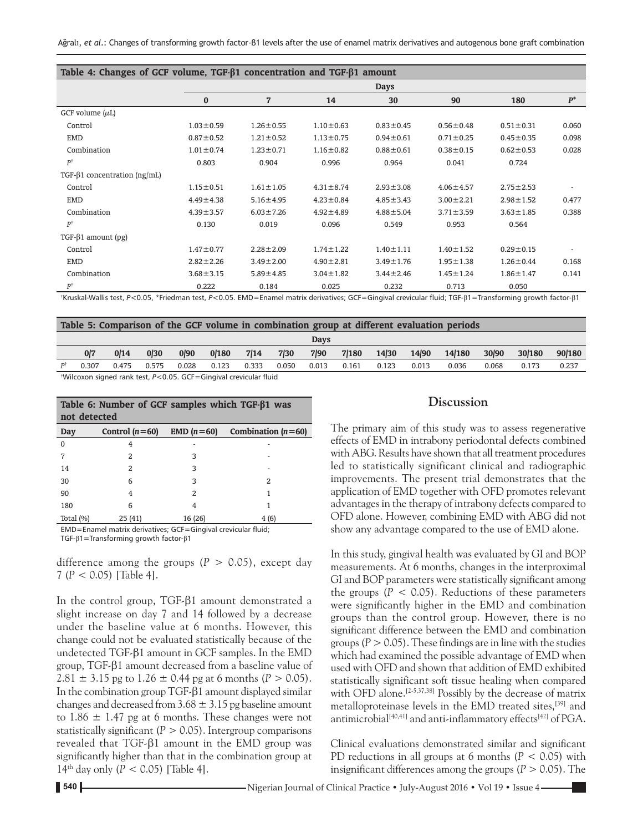| Table 4: Changes of GCF volume, $TGF-\beta1 concentration and TGF-\beta1 amount$ |                 |                 |                 |                 |                 |                 |       |  |  |
|----------------------------------------------------------------------------------|-----------------|-----------------|-----------------|-----------------|-----------------|-----------------|-------|--|--|
|                                                                                  |                 |                 |                 | <b>Days</b>     |                 |                 |       |  |  |
|                                                                                  | $\bf{0}$        | $\overline{7}$  | 14              | 30              | 90              | 180             | $P^*$ |  |  |
| GCF volume $(\mu L)$                                                             |                 |                 |                 |                 |                 |                 |       |  |  |
| Control                                                                          | $1.03 \pm 0.59$ | $1.26 \pm 0.55$ | $1.10 \pm 0.63$ | $0.83 \pm 0.45$ | $0.56 \pm 0.48$ | $0.51 \pm 0.31$ | 0.060 |  |  |
| <b>EMD</b>                                                                       | $0.87 \pm 0.52$ | $1.21 \pm 0.52$ | $1.13 \pm 0.75$ | $0.94 \pm 0.61$ | $0.71 \pm 0.25$ | $0.45 \pm 0.35$ | 0.098 |  |  |
| Combination                                                                      | $1.01 \pm 0.74$ | $1.23 \pm 0.71$ | $1.16 \pm 0.82$ | $0.88 \pm 0.61$ | $0.38 \pm 0.15$ | $0.62 \pm 0.53$ | 0.028 |  |  |
| $P^{\dagger}$                                                                    | 0.803           | 0.904           | 0.996           | 0.964           | 0.041           | 0.724           |       |  |  |
| TGF- $\beta$ 1 concentration (ng/mL)                                             |                 |                 |                 |                 |                 |                 |       |  |  |
| Control                                                                          | $1.15 \pm 0.51$ | $1.61 \pm 1.05$ | $4.31 \pm 8.74$ | $2.93 \pm 3.08$ | $4.06 \pm 4.57$ | $2.75 \pm 2.53$ |       |  |  |
| EMD                                                                              | $4.49 \pm 4.38$ | $5.16 \pm 4.95$ | $4.23 \pm 0.84$ | $4.85 \pm 3.43$ | $3.00 \pm 2.21$ | $2.98 \pm 1.52$ | 0.477 |  |  |
| Combination                                                                      | $4.39 \pm 3.57$ | $6.03 \pm 7.26$ | $4.92 \pm 4.89$ | $4.88 \pm 5.04$ | $3.71 \pm 3.59$ | $3.63 \pm 1.85$ | 0.388 |  |  |
| $P^{\dagger}$                                                                    | 0.130           | 0.019           | 0.096           | 0.549           | 0.953           | 0.564           |       |  |  |
| $TGF-\beta1 amount (pg)$                                                         |                 |                 |                 |                 |                 |                 |       |  |  |
| Control                                                                          | $1.47 \pm 0.77$ | $2.28 \pm 2.09$ | $1.74 \pm 1.22$ | $1.40 \pm 1.11$ | $1.40 \pm 1.52$ | $0.29 \pm 0.15$ |       |  |  |
| EMD                                                                              | $2.82 \pm 2.26$ | $3.49 \pm 2.00$ | $4.90 \pm 2.81$ | $3.49 \pm 1.76$ | $1.95 \pm 1.38$ | $1.26 \pm 0.44$ | 0.168 |  |  |
| Combination                                                                      | $3.68 \pm 3.15$ | $5.89 \pm 4.85$ | $3.04 \pm 1.82$ | $3.44 \pm 2.46$ | $1.45 \pm 1.24$ | $1.86 \pm 1.47$ | 0.141 |  |  |
| P†                                                                               | 0.222           | 0.184           | 0.025           | 0.232           | 0.713           | 0.050           |       |  |  |

† Kruskal-Wallis test, *P*<0.05, \*Friedman test, *P*<0.05. EMD=Enamel matrix derivatives; GCF=Gingival crevicular fluid; TGF‑β1=Transforming growth factor‑β1

|    |       |       |       |       |                                                                   |       |       |             |       |       |       | Table 5: Comparison of the GCF volume in combination group at different evaluation periods |       |        |        |
|----|-------|-------|-------|-------|-------------------------------------------------------------------|-------|-------|-------------|-------|-------|-------|--------------------------------------------------------------------------------------------|-------|--------|--------|
|    |       |       |       |       |                                                                   |       |       | <b>Days</b> |       |       |       |                                                                                            |       |        |        |
|    | 0/7   | 0/14  | 0/30  | 0/90  | 0/180                                                             | 7/14  | 7/30  | 7/90        | 7/180 | 14/30 | 14/90 | 14/180                                                                                     | 30/90 | 30/180 | 90/180 |
| דם | 0.307 | 0.475 | 0.575 | 0.028 | 0.123                                                             | 0.333 | 0.050 | 0.013       | 0.161 | 0.123 | 0.013 | 0.036                                                                                      | 0.068 | 0.173  | 0.237  |
|    |       |       |       |       | *Wilcoxon signed rank test, P<0.05. GCF=Gingival crevicular fluid |       |       |             |       |       |       |                                                                                            |       |        |        |

| Table 6: Number of GCF samples which $TGF-\beta 1$ was<br>not detected |                  |              |                      |  |  |  |  |  |  |  |
|------------------------------------------------------------------------|------------------|--------------|----------------------|--|--|--|--|--|--|--|
| Day                                                                    | Control $(n=60)$ | $EMD (n=60)$ | Combination $(n=60)$ |  |  |  |  |  |  |  |
| $\Omega$                                                               | 4                |              |                      |  |  |  |  |  |  |  |
|                                                                        | $\mathfrak{D}$   | 3            |                      |  |  |  |  |  |  |  |
| 14                                                                     | $\mathcal{L}$    | 3            |                      |  |  |  |  |  |  |  |
| 30                                                                     | 6                | 3            | 2                    |  |  |  |  |  |  |  |
| 90                                                                     | 4                | 2            |                      |  |  |  |  |  |  |  |
| 180                                                                    | 6                | 4            |                      |  |  |  |  |  |  |  |
| Total $(\%)$                                                           | 25(41)           | 16 (26)      | 4(6)                 |  |  |  |  |  |  |  |

EMD=Enamel matrix derivatives; GCF=Gingival crevicular fluid; TGF‑β1=Transforming growth factor‑β1

difference among the groups  $(P > 0.05)$ , except day 7 (*P* < 0.05) [Table 4].

In the control group, TGF‑β1 amount demonstrated a slight increase on day 7 and 14 followed by a decrease under the baseline value at 6 months. However, this change could not be evaluated statistically because of the undetected TGF‑β1 amount in GCF samples. In the EMD group, TGF‑β1 amount decreased from a baseline value of 2.81  $\pm$  3.15 pg to 1.26  $\pm$  0.44 pg at 6 months ( $P > 0.05$ ). In the combination group TGF‑β1 amount displayed similar changes and decreased from  $3.68 \pm 3.15$  pg baseline amount to 1.86  $\pm$  1.47 pg at 6 months. These changes were not statistically significant  $(P > 0.05)$ . Intergroup comparisons revealed that TGF‑β1 amount in the EMD group was significantly higher than that in the combination group at 14<sup>th</sup> day only ( $P < 0.05$ ) [Table 4].

# **Discussion**

The primary aim of this study was to assess regenerative effects of EMD in intrabony periodontal defects combined with ABG. Results have shown that all treatment procedures led to statistically significant clinical and radiographic improvements. The present trial demonstrates that the application of EMD together with OFD promotes relevant advantages in the therapy of intrabony defects compared to OFD alone. However, combining EMD with ABG did not show any advantage compared to the use of EMD alone.

In this study, gingival health was evaluated by GI and BOP measurements. At 6 months, changes in the interproximal GI and BOP parameters were statistically significant among the groups  $(P < 0.05)$ . Reductions of these parameters were significantly higher in the EMD and combination groups than the control group. However, there is no significant difference between the EMD and combination groups  $(P > 0.05)$ . These findings are in line with the studies which had examined the possible advantage of EMD when used with OFD and shown that addition of EMD exhibited statistically significant soft tissue healing when compared with OFD alone.<sup>[2-5,37,38]</sup> Possibly by the decrease of matrix metalloproteinase levels in the EMD treated sites,[39] and antimicrobial<sup>[40,41]</sup> and anti-inflammatory effects<sup>[42]</sup> of PGA.

Clinical evaluations demonstrated similar and significant PD reductions in all groups at 6 months (*P* < 0.05) with insignificant differences among the groups  $(P > 0.05)$ . The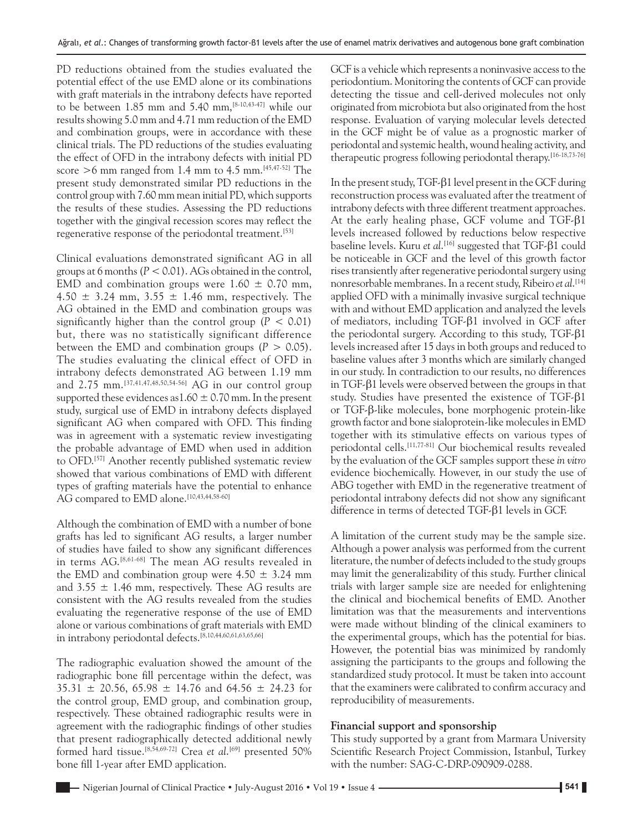PD reductions obtained from the studies evaluated the potential effect of the use EMD alone or its combinations with graft materials in the intrabony defects have reported to be between 1.85 mm and 5.40 mm,  $[8-10, 43-47]$  while our results showing 5.0 mm and 4.71 mm reduction of the EMD and combination groups, were in accordance with these clinical trials. The PD reductions of the studies evaluating the effect of OFD in the intrabony defects with initial PD score >6 mm ranged from 1.4 mm to 4.5 mm.[45,47‑52] The present study demonstrated similar PD reductions in the control group with 7.60 mm mean initial PD, which supports the results of these studies. Assessing the PD reductions together with the gingival recession scores may reflect the regenerative response of the periodontal treatment.<sup>[53]</sup>

Clinical evaluations demonstrated significant AG in all groups at 6 months(*P* < 0.01). AGs obtained in the control, EMD and combination groups were  $1.60 \pm 0.70$  mm, 4.50  $\pm$  3.24 mm, 3.55  $\pm$  1.46 mm, respectively. The AG obtained in the EMD and combination groups was significantly higher than the control group  $(P < 0.01)$ but, there was no statistically significant difference between the EMD and combination groups  $(P > 0.05)$ . The studies evaluating the clinical effect of OFD in intrabony defects demonstrated AG between 1.19 mm and 2.75 mm.[37,41,47,48,50,54‑56] AG in our control group supported these evidences as  $1.60 \pm 0.70$  mm. In the present study, surgical use of EMD in intrabony defects displayed significant AG when compared with OFD. This finding was in agreement with a systematic review investigating the probable advantage of EMD when used in addition to OFD.[57] Another recently published systematic review showed that various combinations of EMD with different types of grafting materials have the potential to enhance AG compared to EMD alone. [10,43,44,58-60]

Although the combination of EMD with a number of bone grafts has led to significant AG results, a larger number of studies have failed to show any significant differences in terms AG.[8,61‑68] The mean AG results revealed in the EMD and combination group were  $4.50 \pm 3.24$  mm and  $3.55 \pm 1.46$  mm, respectively. These AG results are consistent with the AG results revealed from the studies evaluating the regenerative response of the use of EMD alone or various combinations of graft materials with EMD in intrabony periodontal defects.[8,10,44,60,61,63,65,66]

The radiographic evaluation showed the amount of the radiographic bone fill percentage within the defect, was 35.31  $\pm$  20.56, 65.98  $\pm$  14.76 and 64.56  $\pm$  24.23 for the control group, EMD group, and combination group, respectively. These obtained radiographic results were in agreement with the radiographic findings of other studies that present radiographically detected additional newly formed hard tissue.[8,54,69‑72] Crea *et al*. [69] presented 50% bone fill 1‑year after EMD application.

GCF is a vehicle which represents a noninvasive access to the periodontium. Monitoring the contents of GCF can provide detecting the tissue and cell‑derived molecules not only originated from microbiota but also originated from the host response. Evaluation of varying molecular levels detected in the GCF might be of value as a prognostic marker of periodontal and systemic health, wound healing activity, and therapeutic progress following periodontal therapy.[16‑18,73‑76]

In the present study, TGF‑β1 level present in the GCF during reconstruction process was evaluated after the treatment of intrabony defects with three different treatment approaches. At the early healing phase, GCF volume and TGF‑β1 levels increased followed by reductions below respective baseline levels. Kuru *et al*. [16] suggested that TGF‑β1 could be noticeable in GCF and the level of this growth factor rises transiently after regenerative periodontal surgery using nonresorbable membranes. In a recent study, Ribeiro *et al*. [14] applied OFD with a minimally invasive surgical technique with and without EMD application and analyzed the levels of mediators, including TGF‑β1 involved in GCF after the periodontal surgery. According to this study, TGF‑β1 levels increased after 15 days in both groups and reduced to baseline values after 3 months which are similarly changed in our study. In contradiction to our results, no differences in TGF‑β1 levels were observed between the groups in that study. Studies have presented the existence of TGF‑β1 or TGF‑β‑like molecules, bone morphogenic protein‑like growth factor and bone sialoprotein‑like molecules in EMD together with its stimulative effects on various types of periodontal cells.[11,77‑81] Our biochemical results revealed by the evaluation of the GCF samples support these *in vitro*  evidence biochemically. However, in our study the use of ABG together with EMD in the regenerative treatment of periodontal intrabony defects did not show any significant difference in terms of detected TGF‑β1 levels in GCF.

A limitation of the current study may be the sample size. Although a power analysis was performed from the current literature, the number of defects included to the study groups may limit the generalizability of this study. Further clinical trials with larger sample size are needed for enlightening the clinical and biochemical benefits of EMD. Another limitation was that the measurements and interventions were made without blinding of the clinical examiners to the experimental groups, which has the potential for bias. However, the potential bias was minimized by randomly assigning the participants to the groups and following the standardized study protocol. It must be taken into account that the examiners were calibrated to confirm accuracy and reproducibility of measurements.

#### **Financial support and sponsorship**

This study supported by a grant from Marmara University Scientific Research Project Commission, Istanbul, Turkey with the number: SAG-C-DRP-090909-0288.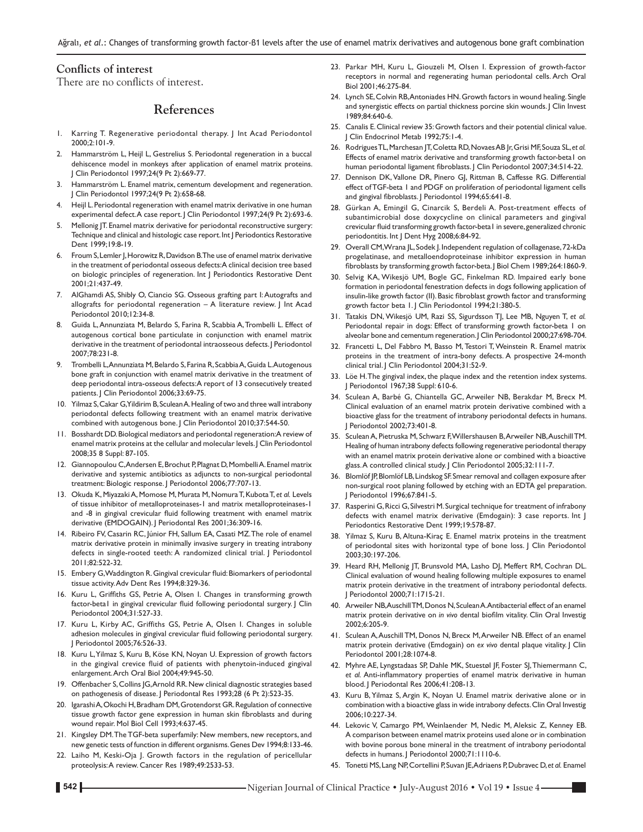# **Conflicts of interest**

There are no conflicts of interest.

# **References**

- 1. Karring T. Regenerative periodontal therapy. J Int Acad Periodontol 2000;2:101-9.
- 2. Hammarström L, Heijl L, Gestrelius S. Periodontal regeneration in a buccal dehiscence model in monkeys after application of enamel matrix proteins. J Clin Periodontol 1997;24(9 Pt 2):669-77.
- 3. Hammarström L. Enamel matrix, cementum development and regeneration. J Clin Periodontol 1997;24(9 Pt 2):658-68.
- Heijl L. Periodontal regeneration with enamel matrix derivative in one human experimental defect. A case report. J Clin Periodontol 1997;24(9 Pt 2):693-6.
- Mellonig JT. Enamel matrix derivative for periodontal reconstructive surgery: Technique and clinical and histologic case report. Int J Periodontics Restorative Dent 1999;19:8-19.
- 6. Froum S, Lemler J, Horowitz R, Davidson B. The use of enamel matrix derivative in the treatment of periodontal osseous defects: A clinical decision tree based on biologic principles of regeneration. Int J Periodontics Restorative Dent 2001;21:437-49.
- 7. AlGhamdi AS, Shibly O, Ciancio SG. Osseous grafting part I: Autografts and allografts for periodontal regeneration – A literature review. J Int Acad Periodontol 2010;12:34-8.
- 8. Guida L, Annunziata M, Belardo S, Farina R, Scabbia A, Trombelli L. Effect of autogenous cortical bone particulate in conjunction with enamel matrix derivative in the treatment of periodontal intraosseous defects. J Periodontol 2007;78:231-8.
- 9. Trombelli L, Annunziata M, Belardo S, Farina R, Scabbia A, Guida L. Autogenous bone graft in conjunction with enamel matrix derivative in the treatment of deep periodontal intra-osseous defects: A report of 13 consecutively treated patients. J Clin Periodontol 2006;33:69-75.
- 10. Yilmaz S, Cakar G, Yildirim B, SculeanA. Healing of two and three wall intrabony periodontal defects following treatment with an enamel matrix derivative combined with autogenous bone. J Clin Periodontol 2010;37:544-50.
- 11. Bosshardt DD. Biological mediators and periodontal regeneration: A review of enamel matrix proteins at the cellular and molecular levels. J Clin Periodontol 2008;35 8 Suppl: 87-105.
- 12. Giannopoulou C, Andersen E, Brochut P, Plagnat D, MombelliA. Enamel matrix derivative and systemic antibiotics as adjuncts to non-surgical periodontal treatment: Biologic response. J Periodontol 2006;77:707-13.
- 13. Okuda K, MiyazakiA, Momose M, Murata M, NomuraT, KubotaT, *et al.* Levels of tissue inhibitor of metalloproteinases-1 and matrix metalloproteinases-1 and ‑8 in gingival crevicular fluid following treatment with enamel matrix derivative (EMDOGAIN). J Periodontal Res 2001;36:309-16.
- 14. Ribeiro FV, Casarin RC, Júnior FH, Sallum EA, Casati MZ. The role of enamel matrix derivative protein in minimally invasive surgery in treating intrabony defects in single-rooted teeth: A randomized clinical trial. | Periodontol 2011;82:522-32.
- 15. Embery G, Waddington R. Gingival crevicular fluid: Biomarkers of periodontal tissue activity. Adv Dent Res 1994;8:329-36.
- 16. Kuru L, Griffiths GS, Petrie A, Olsen I. Changes in transforming growth factor-beta1 in gingival crevicular fluid following periodontal surgery. J Clin Periodontol 2004;31:527-33.
- 17. Kuru L, Kirby AC, Griffiths GS, Petrie A, Olsen I. Changes in soluble adhesion molecules in gingival crevicular fluid following periodontal surgery. J Periodontol 2005;76:526-33.
- 18. Kuru L, Yilmaz S, Kuru B, Köse KN, Noyan U. Expression of growth factors in the gingival crevice fluid of patients with phenytoin-induced gingival enlargement. Arch Oral Biol 2004;49:945-50.
- 19. Offenbacher S, Collins JG, Arnold RR. New clinical diagnostic strategies based on pathogenesis of disease. J Periodontal Res 1993;28 (6 Pt 2):523-35.
- 20. IgarashiA, Okochi H, Bradham DM, Grotendorst GR. Regulation of connective tissue growth factor gene expression in human skin fibroblasts and during wound repair. Mol Biol Cell 1993;4:637-45.
- 21. Kingsley DM. The TGF-beta superfamily: New members, new receptors, and new genetic tests of function in different organisms. Genes Dev 1994;8:133-46.
- 22. Laiho M, Keski-Oja J. Growth factors in the regulation of pericellular proteolysis: A review. Cancer Res 1989;49:2533-53.
- 23. Parkar MH, Kuru L, Giouzeli M, Olsen I. Expression of growth-factor receptors in normal and regenerating human periodontal cells. Arch Oral Biol 2001;46:275-84.
- 24. Lynch SE, Colvin RB, Antoniades HN. Growth factors in wound healing. Single and synergistic effects on partial thickness porcine skin wounds. J Clin Invest 1989;84:640-6.
- 25. Canalis E. Clinical review 35: Growth factors and their potential clinical value. J Clin Endocrinol Metab 1992;75:1-4.
- 26. RodriguesTL, Marchesan JT, Coletta RD, Novaes AB Jr, Grisi MF, Souza SL, *et al.* Effects of enamel matrix derivative and transforming growth factor-betal on human periodontal ligament fibroblasts. J Clin Periodontol 2007;34:514-22.
- 27. Dennison DK, Vallone DR, Pinero GJ, Rittman B, Caffesse RG. Differential effect of TGF-beta 1 and PDGF on proliferation of periodontal ligament cells and gingival fibroblasts. J Periodontol 1994;65:641-8.
- 28. Gürkan A, Emingil G, Cinarcik S, Berdeli A. Post-treatment effects of subantimicrobial dose doxycycline on clinical parameters and gingival crevicular fluid transforming growth factor-betal in severe, generalized chronic periodontitis. Int J Dent Hyg 2008;6:84-92.
- 29. Overall CM, Wrana JL, Sodek J. Independent regulation of collagenase, 72-kDa progelatinase, and metalloendoproteinase inhibitor expression in human fibroblasts by transforming growth factor-beta. J Biol Chem 1989;264:1860-9.
- 30. Selvig KA, Wikesjö UM, Bogle GC, Finkelman RD. Impaired early bone formation in periodontal fenestration defects in dogs following application of insulin-like growth factor (II). Basic fibroblast growth factor and transforming growth factor beta 1.J Clin Periodontol 1994;21:380-5.
- 31. Tatakis DN, Wikesjö UM, Razi SS, Sigurdsson TJ, Lee MB, Nguyen T, *et al.* Periodontal repair in dogs: Effect of transforming growth factor-beta 1 on alveolar bone and cementum regeneration. J Clin Periodontol 2000;27:698-704.
- 32. Francetti L, Del Fabbro M, Basso M, Testori T, Weinstein R. Enamel matrix proteins in the treatment of intra-bony defects. A prospective 24-month clinical trial. J Clin Periodontol 2004;31:52-9.
- 33. Löe H. The gingival index, the plaque index and the retention index systems. J Periodontol 1967;38 Suppl: 610-6.
- 34. Sculean A, Barbé G, Chiantella GC, Arweiler NB, Berakdar M, Brecx M. Clinical evaluation of an enamel matrix protein derivative combined with a bioactive glass for the treatment of intrabony periodontal defects in humans. J Periodontol 2002;73:401-8.
- 35. SculeanA, Pietruska M, Schwarz F, Willershausen B, Arweiler NB, AuschillTM. Healing of human intrabony defects following regenerative periodontal therapy with an enamel matrix protein derivative alone or combined with a bioactive glass. A controlled clinical study. J Clin Periodontol 2005;32:111-7.
- 36. Blomlöf JP, Blomlöf LB, Lindskog SF. Smear removal and collagen exposure after non-surgical root planing followed by etching with an EDTA gel preparation. J Periodontol 1996;67:841-5.
- 37. Rasperini G, Ricci G, Silvestri M. Surgical technique for treatment of infrabony defects with enamel matrix derivative (Emdogain): 3 case reports. Int J Periodontics Restorative Dent 1999;19:578-87.
- 38. Yilmaz S, Kuru B, Altuna-Kiraç E. Enamel matrix proteins in the treatment of periodontal sites with horizontal type of bone loss. J Clin Periodontol 2003;30:197-206.
- 39. Heard RH, Mellonig JT, Brunsvold MA, Lasho DJ, Meffert RM, Cochran DL. Clinical evaluation of wound healing following multiple exposures to enamel matrix protein derivative in the treatment of intrabony periodontal defects. J Periodontol 2000;71:1715-21.
- 40. Arweiler NB, Auschill TM, Donos N, Sculean A. Antibacterial effect of an enamel matrix protein derivative on *in vivo* dental biofilm vitality. Clin Oral Investig 2002;6:205-9.
- 41. Sculean A, Auschill TM, Donos N, Brecx M, Arweiler NB. Effect of an enamel matrix protein derivative (Emdogain) on *ex vivo* dental plaque vitality. J Clin Periodontol 2001;28:1074-8.
- 42. Myhre AE, Lyngstadaas SP, Dahle MK, Stuestøl JF, Foster SJ, Thiemermann C, *et al.* Anti‑inflammatory properties of enamel matrix derivative in human blood. J Periodontal Res 2006;41:208-13.
- 43. Kuru B, Yilmaz S, Argin K, Noyan U. Enamel matrix derivative alone or in combination with a bioactive glass in wide intrabony defects. Clin Oral Investig 2006;10:227-34.
- 44. Lekovic V, Camargo PM, Weinlaender M, Nedic M, Aleksic Z, Kenney EB. A comparison between enamel matrix proteins used alone or in combination with bovine porous bone mineral in the treatment of intrabony periodontal defects in humans. J Periodontol 2000;71:1110-6.
- 45. Tonetti MS, Lang NP, Cortellini P, Suvan JE, Adriaens P, Dubravec D, *et al.* Enamel